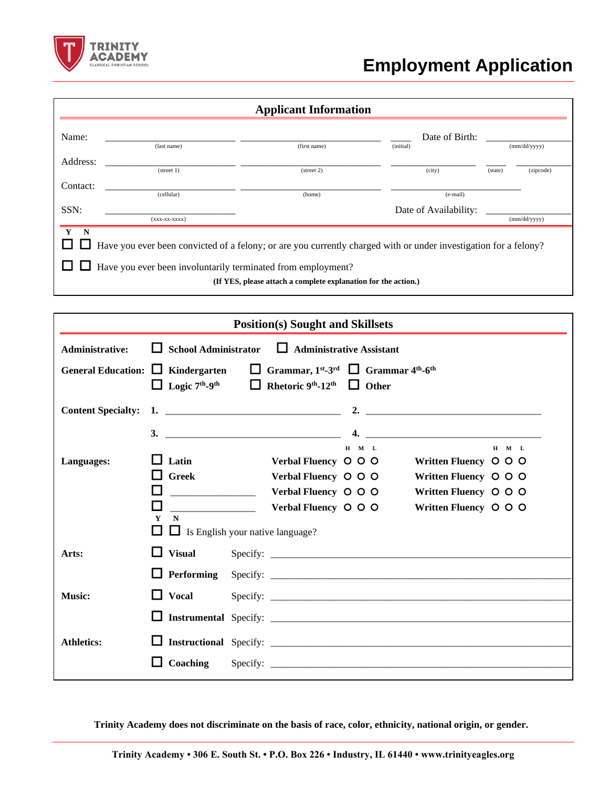

## **Employment Application**

|                                                                                                                                                                                                                                                             |                      | <b>Applicant Information</b> |                       |                      |  |  |
|-------------------------------------------------------------------------------------------------------------------------------------------------------------------------------------------------------------------------------------------------------------|----------------------|------------------------------|-----------------------|----------------------|--|--|
| Name:                                                                                                                                                                                                                                                       |                      |                              | Date of Birth:        |                      |  |  |
|                                                                                                                                                                                                                                                             | (last name)          | (first name)                 | (initial)             | (mm/dd/yyyy)         |  |  |
| Address:                                                                                                                                                                                                                                                    |                      |                              |                       |                      |  |  |
|                                                                                                                                                                                                                                                             | $(\text{street } 1)$ | $(\text{street } 2)$         | (city)                | (zipcode)<br>(state) |  |  |
| Contact:                                                                                                                                                                                                                                                    |                      |                              |                       |                      |  |  |
|                                                                                                                                                                                                                                                             | (cellular)           | (home)                       | (e-mail)              |                      |  |  |
| SSN:                                                                                                                                                                                                                                                        |                      |                              | Date of Availability: |                      |  |  |
|                                                                                                                                                                                                                                                             | $(xxX-XX-XXX)$       |                              |                       | (mm/dd/yyyy)         |  |  |
| $Y$ N<br>Have you ever been convicted of a felony; or are you currently charged with or under investigation for a felony?<br>Have you ever been involuntarily terminated from employment?<br>(If YES, please attach a complete explanation for the action.) |                      |                              |                       |                      |  |  |

| <b>Position(s)</b> Sought and Skillsets                                                                                                 |                                               |  |                                                                                                              |             |                                                                  |             |
|-----------------------------------------------------------------------------------------------------------------------------------------|-----------------------------------------------|--|--------------------------------------------------------------------------------------------------------------|-------------|------------------------------------------------------------------|-------------|
| School Administrator $\Box$ Administrative Assistant<br>Administrative:                                                                 |                                               |  |                                                                                                              |             |                                                                  |             |
| General Education: $\Box$ Kindergarten $\Box$ Grammar, 1 <sup>st</sup> -3 <sup>rd</sup> $\Box$ Grammar 4 <sup>th</sup> -6 <sup>th</sup> |                                               |  | $\Box$ Logic 7 <sup>th</sup> -9 <sup>th</sup> $\Box$ Rhetoric 9 <sup>th</sup> -12 <sup>th</sup> $\Box$ Other |             |                                                                  |             |
|                                                                                                                                         |                                               |  |                                                                                                              |             |                                                                  |             |
|                                                                                                                                         |                                               |  |                                                                                                              | $H$ $M$ $L$ |                                                                  | $H$ $M$ $L$ |
| Languages:                                                                                                                              | Latin                                         |  | Verbal Fluency O O O                                                                                         |             | Written Fluency O O O                                            |             |
|                                                                                                                                         | $\Box$ Greek                                  |  | Verbal Fluency O O O<br>Verbal Fluency O O O                                                                 |             | Written Fluency $\circ$ $\circ$ $\circ$<br>Written Fluency O O O |             |
|                                                                                                                                         | $\blacksquare$<br>$\mathbf{V}$<br>$\mathbf N$ |  | Verbal Fluency $\circ$ $\circ$ $\circ$<br>$\Box$ Is English your native language?                            |             | Written Fluency O O O                                            |             |
| Arts:                                                                                                                                   | <b>Visual</b>                                 |  |                                                                                                              |             |                                                                  |             |
|                                                                                                                                         | ப                                             |  |                                                                                                              |             |                                                                  |             |
| <b>Music:</b>                                                                                                                           | <b>Vocal</b><br>$\mathbf{I}$                  |  |                                                                                                              |             |                                                                  |             |
|                                                                                                                                         |                                               |  |                                                                                                              |             |                                                                  |             |
| <b>Athletics:</b>                                                                                                                       |                                               |  |                                                                                                              |             |                                                                  |             |
|                                                                                                                                         |                                               |  |                                                                                                              |             |                                                                  |             |

**Trinity Academy does not discriminate on the basis of race, color, ethnicity, national origin, or gender.**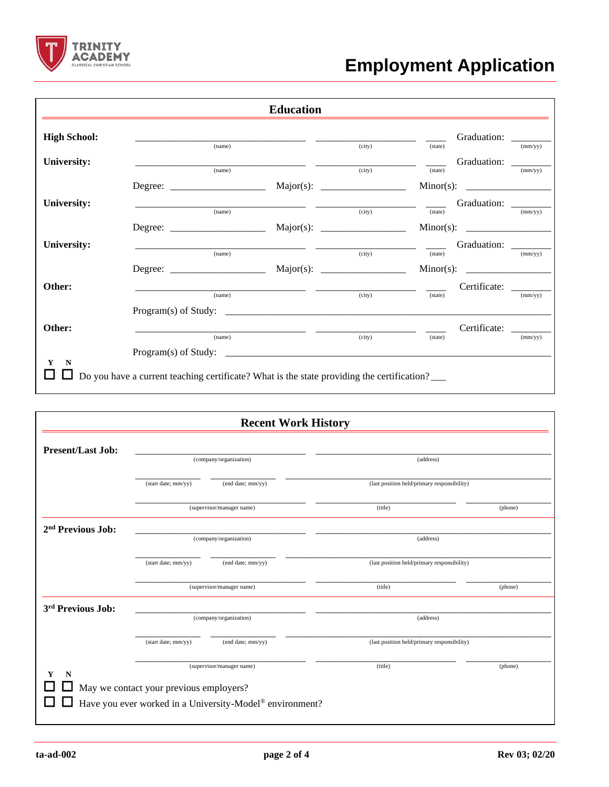

## **Employment Application**

|                     |                                                                                            | <b>Education</b> |        |               |                      |               |
|---------------------|--------------------------------------------------------------------------------------------|------------------|--------|---------------|----------------------|---------------|
| <b>High School:</b> |                                                                                            |                  |        |               | Graduation: _______  |               |
|                     | (name)                                                                                     |                  | (city) | (state)       |                      | (mm/yy)       |
| University:         |                                                                                            |                  |        |               | Graduation: _______  |               |
|                     | (name)                                                                                     |                  | (city) | (state)       |                      | (mm/yy)       |
|                     |                                                                                            |                  |        |               |                      |               |
| <b>University:</b>  |                                                                                            |                  |        | $\frac{1}{2}$ | Graduation: _______  |               |
|                     | (name)                                                                                     |                  | (city) | (state)       |                      | $\frac{1}{2}$ |
|                     |                                                                                            |                  |        |               |                      |               |
| <b>University:</b>  |                                                                                            |                  |        |               | Graduation: ________ |               |
|                     | (name)                                                                                     |                  | (city) | (state)       |                      | (mm/yy)       |
|                     |                                                                                            |                  |        |               |                      |               |
| Other:              |                                                                                            |                  |        |               | Certificate:         |               |
|                     | (name)                                                                                     |                  | (city) | (state)       |                      | (mm/yy)       |
|                     |                                                                                            |                  |        |               |                      |               |
| Other:              |                                                                                            |                  |        |               | Certificate: ______  |               |
|                     | (name)                                                                                     |                  | (city) | (state)       |                      | (mm/yy)       |
|                     |                                                                                            |                  |        |               |                      |               |
| N<br>Y              |                                                                                            |                  |        |               |                      |               |
|                     | Do you have a current teaching certificate? What is the state providing the certification? |                  |        |               |                      |               |

|                               |                                         | <b>Recent Work History</b>                               |                                             |         |  |
|-------------------------------|-----------------------------------------|----------------------------------------------------------|---------------------------------------------|---------|--|
| <b>Present/Last Job:</b>      |                                         |                                                          |                                             |         |  |
|                               | (company/organization)                  |                                                          | (address)                                   |         |  |
|                               | (start date; mm/yy)                     | (end date; mm/yy)                                        | (last position held/primary responsibility) |         |  |
|                               |                                         | (supervisor/manager name)                                | (title)                                     | (phone) |  |
| 2 <sup>nd</sup> Previous Job: | (company/organization)                  |                                                          | (address)                                   |         |  |
|                               | (start date; mm/yy)                     | (end date; mm/yy)                                        | (last position held/primary responsibility) |         |  |
|                               |                                         | (supervisor/manager name)                                | (title)                                     | (phone) |  |
| 3 <sup>rd</sup> Previous Job: | (company/organization)                  |                                                          | (address)                                   |         |  |
|                               | (start date; mm/yy)                     | (end date; mm/yy)                                        | (last position held/primary responsibility) |         |  |
| N<br>Y                        | May we contact your previous employers? | (supervisor/manager name)                                | (title)                                     | (phone) |  |
|                               |                                         | Have you ever worked in a University-Model® environment? |                                             |         |  |